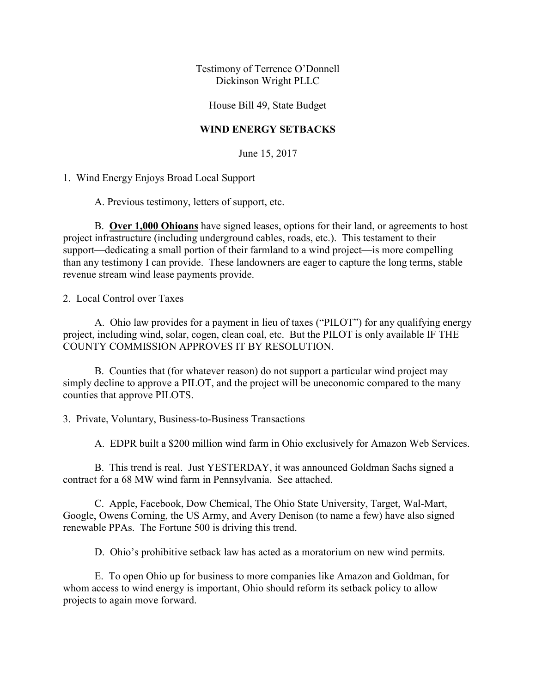Testimony of Terrence O'Donnell Dickinson Wright PLLC

House Bill 49, State Budget

## **WIND ENERGY SETBACKS**

June 15, 2017

1. Wind Energy Enjoys Broad Local Support

A. Previous testimony, letters of support, etc.

 B. **Over 1,000 Ohioans** have signed leases, options for their land, or agreements to host project infrastructure (including underground cables, roads, etc.). This testament to their support—dedicating a small portion of their farmland to a wind project—is more compelling than any testimony I can provide. These landowners are eager to capture the long terms, stable revenue stream wind lease payments provide.

2. Local Control over Taxes

 A. Ohio law provides for a payment in lieu of taxes ("PILOT") for any qualifying energy project, including wind, solar, cogen, clean coal, etc. But the PILOT is only available IF THE COUNTY COMMISSION APPROVES IT BY RESOLUTION.

 B. Counties that (for whatever reason) do not support a particular wind project may simply decline to approve a PILOT, and the project will be uneconomic compared to the many counties that approve PILOTS.

3. Private, Voluntary, Business-to-Business Transactions

A. EDPR built a \$200 million wind farm in Ohio exclusively for Amazon Web Services.

 B. This trend is real. Just YESTERDAY, it was announced Goldman Sachs signed a contract for a 68 MW wind farm in Pennsylvania. See attached.

 C. Apple, Facebook, Dow Chemical, The Ohio State University, Target, Wal-Mart, Google, Owens Corning, the US Army, and Avery Denison (to name a few) have also signed renewable PPAs. The Fortune 500 is driving this trend.

D. Ohio's prohibitive setback law has acted as a moratorium on new wind permits.

 E. To open Ohio up for business to more companies like Amazon and Goldman, for whom access to wind energy is important. Ohio should reform its setback policy to allow projects to again move forward.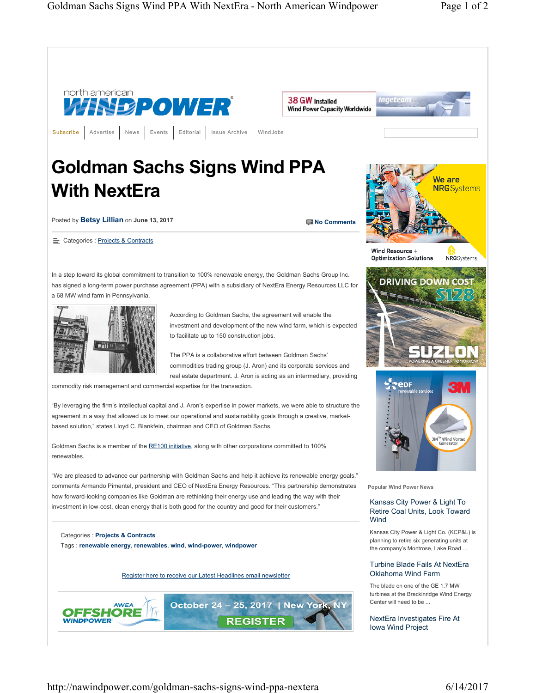

http://nawindpower.com/goldman-sachs-signs-wind-ppa-nextera 6/14/2017